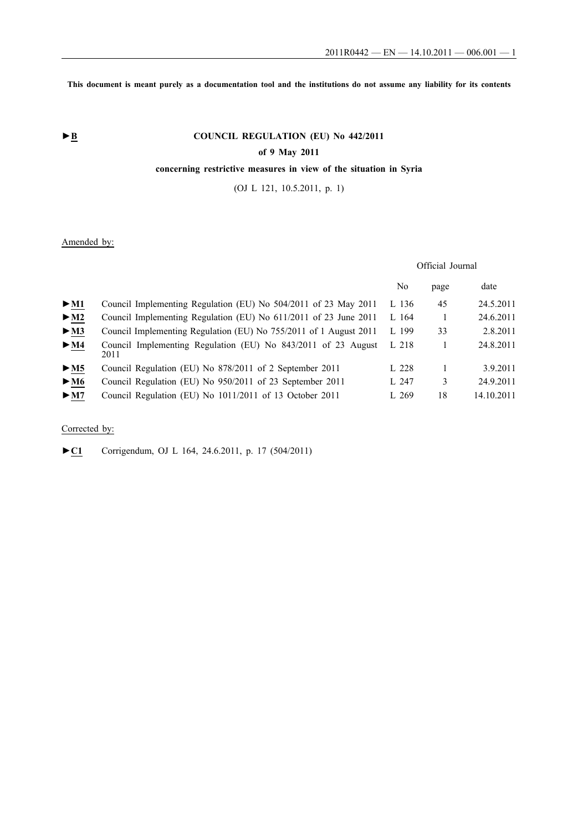**This document is meant purely as a documentation tool and the institutions do not assume any liability for its contents**

# ► **B** COUNCIL REGULATION (EU) No 442/2011

## **of 9 May 2011**

# **concerning restrictive measures in view of the situation in Syria**

(OJ L 121, 10.5.2011, p. 1)

# Amended by:

## Official Journal

|                                 |                                                                       | No    | page | date       |
|---------------------------------|-----------------------------------------------------------------------|-------|------|------------|
| $\blacktriangleright$ M1        | Council Implementing Regulation (EU) No 504/2011 of 23 May 2011       | L 136 | 45   | 24.5.2011  |
| $\blacktriangleright$ M2        | Council Implementing Regulation (EU) No 611/2011 of 23 June 2011      | L 164 |      | 24.6.2011  |
| > M3                            | Council Implementing Regulation (EU) No 755/2011 of 1 August 2011     | L 199 | 33   | 2.8.2011   |
| $\blacktriangleright$ <u>M4</u> | Council Implementing Regulation (EU) No 843/2011 of 23 August<br>2011 | L 218 |      | 24.8.2011  |
| $\triangleright$ <u>M5</u>      | Council Regulation (EU) No 878/2011 of 2 September 2011               | L228  |      | 3.9.2011   |
| $\blacktriangleright$ <u>M6</u> | Council Regulation (EU) No 950/2011 of 23 September 2011              | L 247 | 3    | 24.9.2011  |
| $\blacktriangleright$ M7        | Council Regulation (EU) No 1011/2011 of 13 October 2011               | L 269 | 18   | 14.10.2011 |

# Corrected by:

►**C1** Corrigendum, OJ L 164, 24.6.2011, p. 17 (504/2011)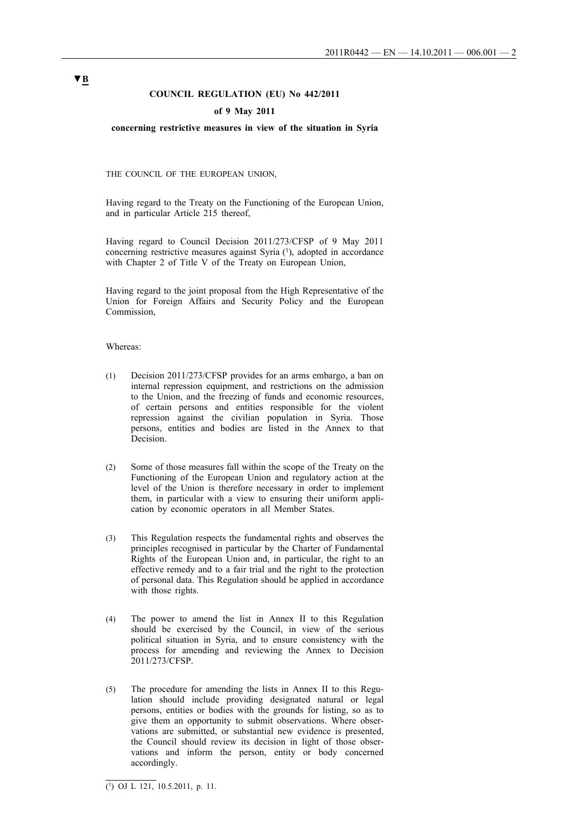## **COUNCIL REGULATION (EU) No 442/2011**

## **of 9 May 2011**

## **concerning restrictive measures in view of the situation in Syria**

THE COUNCIL OF THE EUROPEAN UNION,

Having regard to the Treaty on the Functioning of the European Union, and in particular Article 215 thereof,

Having regard to Council Decision 2011/273/CFSP of 9 May 2011 concerning restrictive measures against Syria (1), adopted in accordance with Chapter 2 of Title V of the Treaty on European Union,

Having regard to the joint proposal from the High Representative of the Union for Foreign Affairs and Security Policy and the European Commission,

#### Whereas:

- (1) Decision 2011/273/CFSP provides for an arms embargo, a ban on internal repression equipment, and restrictions on the admission to the Union, and the freezing of funds and economic resources, of certain persons and entities responsible for the violent repression against the civilian population in Syria. Those persons, entities and bodies are listed in the Annex to that **Decision**
- (2) Some of those measures fall within the scope of the Treaty on the Functioning of the European Union and regulatory action at the level of the Union is therefore necessary in order to implement them, in particular with a view to ensuring their uniform application by economic operators in all Member States.
- (3) This Regulation respects the fundamental rights and observes the principles recognised in particular by the Charter of Fundamental Rights of the European Union and, in particular, the right to an effective remedy and to a fair trial and the right to the protection of personal data. This Regulation should be applied in accordance with those rights.
- (4) The power to amend the list in Annex II to this Regulation should be exercised by the Council, in view of the serious political situation in Syria, and to ensure consistency with the process for amending and reviewing the Annex to Decision 2011/273/CFSP.
- (5) The procedure for amending the lists in Annex II to this Regulation should include providing designated natural or legal persons, entities or bodies with the grounds for listing, so as to give them an opportunity to submit observations. Where observations are submitted, or substantial new evidence is presented, the Council should review its decision in light of those observations and inform the person, entity or body concerned accordingly.

 $\overline{(^1)}$  OJ L 121, 10.5.2011, p. 11.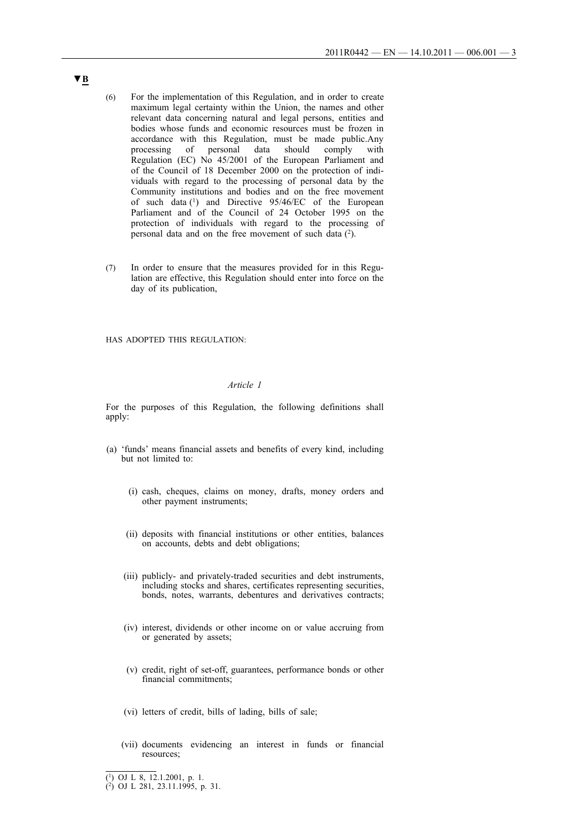- (6) For the implementation of this Regulation, and in order to create maximum legal certainty within the Union, the names and other relevant data concerning natural and legal persons, entities and bodies whose funds and economic resources must be frozen in accordance with this Regulation, must be made public.Any processing of personal data should comply with Regulation (EC) No 45/2001 of the European Parliament and of the Council of 18 December 2000 on the protection of individuals with regard to the processing of personal data by the Community institutions and bodies and on the free movement of such data  $(1)$  and Directive 95/46/EC of the European Parliament and of the Council of 24 October 1995 on the protection of individuals with regard to the processing of personal data and on the free movement of such data (2).
- (7) In order to ensure that the measures provided for in this Regulation are effective, this Regulation should enter into force on the day of its publication,

## HAS ADOPTED THIS REGULATION:

## *Article 1*

For the purposes of this Regulation, the following definitions shall apply:

- (a) 'funds' means financial assets and benefits of every kind, including but not limited to:
	- (i) cash, cheques, claims on money, drafts, money orders and other payment instruments;
	- (ii) deposits with financial institutions or other entities, balances on accounts, debts and debt obligations;
	- (iii) publicly- and privately-traded securities and debt instruments, including stocks and shares, certificates representing securities, bonds, notes, warrants, debentures and derivatives contracts;
	- (iv) interest, dividends or other income on or value accruing from or generated by assets;
	- (v) credit, right of set-off, guarantees, performance bonds or other financial commitments;
	- (vi) letters of credit, bills of lading, bills of sale;
	- (vii) documents evidencing an interest in funds or financial resources;

<sup>(1)</sup> OJ L 8, 12.1.2001, p. 1.

<sup>(2)</sup> OJ L 281, 23.11.1995, p. 31.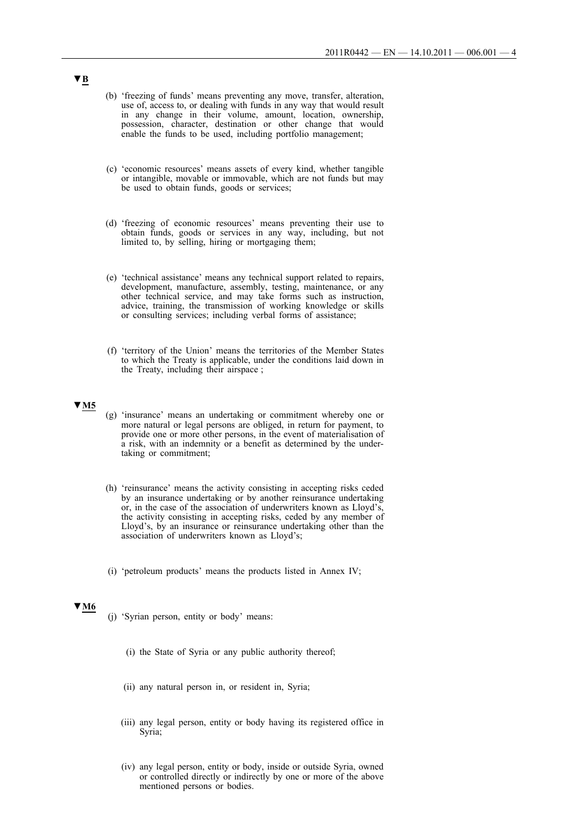- (b) 'freezing of funds' means preventing any move, transfer, alteration, use of, access to, or dealing with funds in any way that would result in any change in their volume, amount, location, ownership, possession, character, destination or other change that would enable the funds to be used, including portfolio management;
- (c) 'economic resources' means assets of every kind, whether tangible or intangible, movable or immovable, which are not funds but may be used to obtain funds, goods or services;
- (d) 'freezing of economic resources' means preventing their use to obtain funds, goods or services in any way, including, but not limited to, by selling, hiring or mortgaging them;
- (e) 'technical assistance' means any technical support related to repairs, development, manufacture, assembly, testing, maintenance, or any other technical service, and may take forms such as instruction, advice, training, the transmission of working knowledge or skills or consulting services; including verbal forms of assistance;
- (f) 'territory of the Union' means the territories of the Member States to which the Treaty is applicable, under the conditions laid down in the Treaty, including their airspace ;

- (g) 'insurance' means an undertaking or commitment whereby one or more natural or legal persons are obliged, in return for payment, to provide one or more other persons, in the event of materialisation of a risk, with an indemnity or a benefit as determined by the undertaking or commitment;
- (h) 'reinsurance' means the activity consisting in accepting risks ceded by an insurance undertaking or by another reinsurance undertaking or, in the case of the association of underwriters known as Lloyd's, the activity consisting in accepting risks, ceded by any member of Lloyd's, by an insurance or reinsurance undertaking other than the association of underwriters known as Lloyd's;
- (i) 'petroleum products' means the products listed in Annex IV;

## **▼M6**

- (j) 'Syrian person, entity or body' means:
	- (i) the State of Syria or any public authority thereof;
	- (ii) any natural person in, or resident in, Syria;
	- (iii) any legal person, entity or body having its registered office in Syria;
	- (iv) any legal person, entity or body, inside or outside Syria, owned or controlled directly or indirectly by one or more of the above mentioned persons or bodies.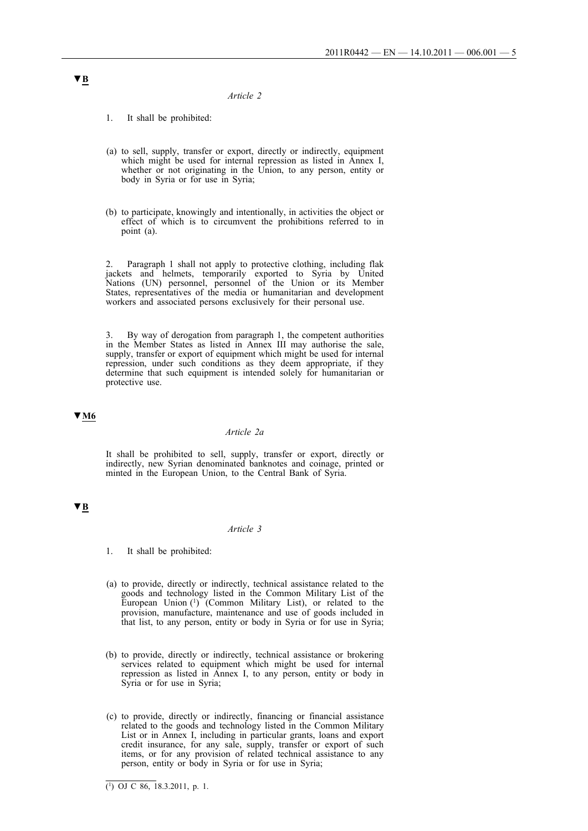#### *Article 2*

- 1. It shall be prohibited:
- (a) to sell, supply, transfer or export, directly or indirectly, equipment which might be used for internal repression as listed in Annex I, whether or not originating in the Union, to any person, entity or body in Syria or for use in Syria;
- (b) to participate, knowingly and intentionally, in activities the object or effect of which is to circumvent the prohibitions referred to in point (a).

2. Paragraph 1 shall not apply to protective clothing, including flak jackets and helmets, temporarily exported to Syria by United Nations (UN) personnel, personnel of the Union or its Member States, representatives of the media or humanitarian and development workers and associated persons exclusively for their personal use.

3. By way of derogation from paragraph 1, the competent authorities in the Member States as listed in Annex III may authorise the sale, supply, transfer or export of equipment which might be used for internal repression, under such conditions as they deem appropriate, if they determine that such equipment is intended solely for humanitarian or protective use.

## **▼M6**

#### *Article 2a*

It shall be prohibited to sell, supply, transfer or export, directly or indirectly, new Syrian denominated banknotes and coinage, printed or minted in the European Union, to the Central Bank of Syria.

# **▼B**

#### *Article 3*

- 1. It shall be prohibited:
- (a) to provide, directly or indirectly, technical assistance related to the goods and technology listed in the Common Military List of the European Union (1) (Common Military List), or related to the provision, manufacture, maintenance and use of goods included in that list, to any person, entity or body in Syria or for use in Syria;
- (b) to provide, directly or indirectly, technical assistance or brokering services related to equipment which might be used for internal repression as listed in Annex I, to any person, entity or body in Syria or for use in Syria;
- (c) to provide, directly or indirectly, financing or financial assistance related to the goods and technology listed in the Common Military List or in Annex I, including in particular grants, loans and export credit insurance, for any sale, supply, transfer or export of such items, or for any provision of related technical assistance to any person, entity or body in Syria or for use in Syria;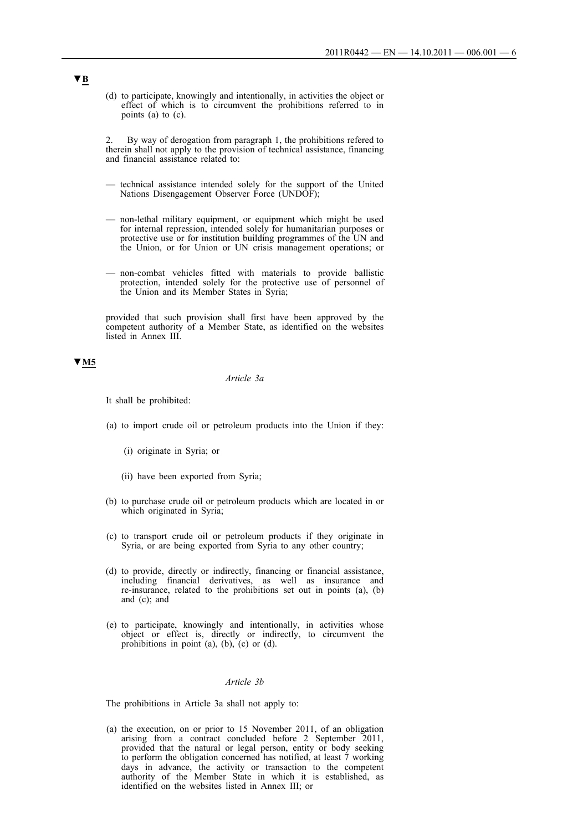(d) to participate, knowingly and intentionally, in activities the object or effect of which is to circumvent the prohibitions referred to in points (a) to (c).

By way of derogation from paragraph 1, the prohibitions refered to therein shall not apply to the provision of technical assistance, financing and financial assistance related to:

- technical assistance intended solely for the support of the United Nations Disengagement Observer Force (UNDOF);
- non-lethal military equipment, or equipment which might be used for internal repression, intended solely for humanitarian purposes or protective use or for institution building programmes of the UN and the Union, or for Union or UN crisis management operations; or
- non-combat vehicles fitted with materials to provide ballistic protection, intended solely for the protective use of personnel of the Union and its Member States in Syria;

provided that such provision shall first have been approved by the competent authority of a Member State, as identified on the websites listed in Annex III.

# **▼M5**

#### *Article 3a*

It shall be prohibited:

- (a) to import crude oil or petroleum products into the Union if they:
	- (i) originate in Syria; or
	- (ii) have been exported from Syria;
- (b) to purchase crude oil or petroleum products which are located in or which originated in Syria;
- (c) to transport crude oil or petroleum products if they originate in Syria, or are being exported from Syria to any other country;
- (d) to provide, directly or indirectly, financing or financial assistance, including financial derivatives, as well as insurance and re-insurance, related to the prohibitions set out in points (a), (b) and (c); and
- (e) to participate, knowingly and intentionally, in activities whose object or effect is, directly or indirectly, to circumvent the prohibitions in point  $(a)$ ,  $(b)$ ,  $(c)$  or  $(d)$ .

#### *Article 3b*

The prohibitions in Article 3a shall not apply to:

(a) the execution, on or prior to 15 November 2011, of an obligation arising from a contract concluded before 2 September 2011, provided that the natural or legal person, entity or body seeking to perform the obligation concerned has notified, at least 7 working days in advance, the activity or transaction to the competent authority of the Member State in which it is established, as identified on the websites listed in Annex III; or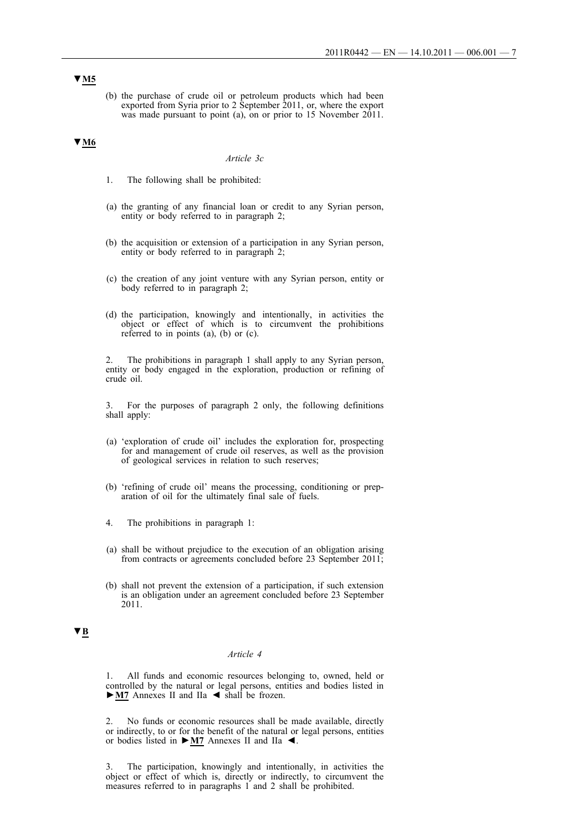(b) the purchase of crude oil or petroleum products which had been exported from Syria prior to 2 September 2011, or, where the export was made pursuant to point (a), on or prior to 15 November 2011.

## **▼M6**

#### *Article 3c*

- 1. The following shall be prohibited:
- (a) the granting of any financial loan or credit to any Syrian person, entity or body referred to in paragraph 2;
- (b) the acquisition or extension of a participation in any Syrian person, entity or body referred to in paragraph 2;
- (c) the creation of any joint venture with any Syrian person, entity or body referred to in paragraph 2;
- (d) the participation, knowingly and intentionally, in activities the object or effect of which is to circumvent the prohibitions referred to in points (a), (b) or (c).

2. The prohibitions in paragraph 1 shall apply to any Syrian person, entity or body engaged in the exploration, production or refining of crude oil.

3. For the purposes of paragraph 2 only, the following definitions shall apply:

- (a) 'exploration of crude oil' includes the exploration for, prospecting for and management of crude oil reserves, as well as the provision of geological services in relation to such reserves;
- (b) 'refining of crude oil' means the processing, conditioning or preparation of oil for the ultimately final sale of fuels.
- 4. The prohibitions in paragraph 1:
- (a) shall be without prejudice to the execution of an obligation arising from contracts or agreements concluded before 23 September 2011;
- (b) shall not prevent the extension of a participation, if such extension is an obligation under an agreement concluded before 23 September 2011.

## **▼B**

## *Article 4*

1. All funds and economic resources belonging to, owned, held or controlled by the natural or legal persons, entities and bodies listed in **►M7** Annexes II and IIa ◄ shall be frozen.

2. No funds or economic resources shall be made available, directly or indirectly, to or for the benefit of the natural or legal persons, entities or bodies listed in **►M7** Annexes II and IIa ◄.

The participation, knowingly and intentionally, in activities the object or effect of which is, directly or indirectly, to circumvent the measures referred to in paragraphs 1 and 2 shall be prohibited.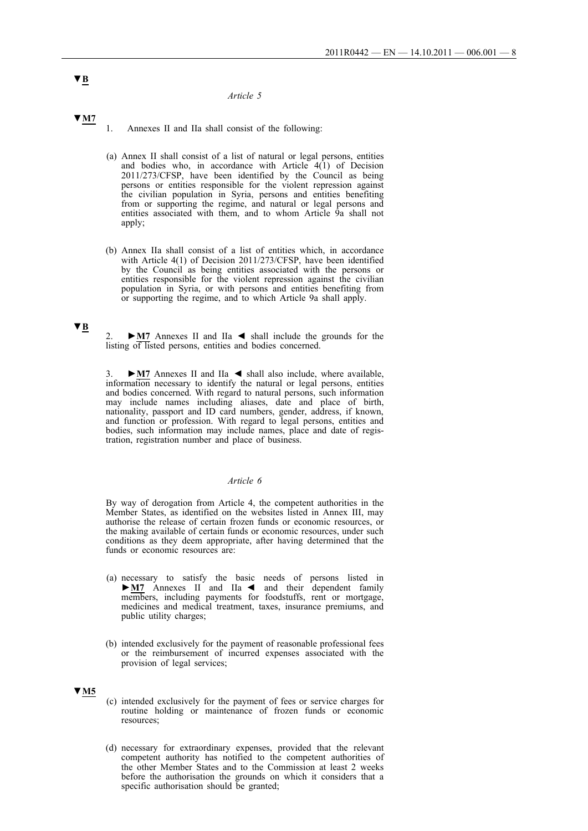#### *Article 5*

**▼M7**

1. Annexes II and IIa shall consist of the following:

- (a) Annex II shall consist of a list of natural or legal persons, entities and bodies who, in accordance with Article  $4(1)$  of Decision 2011/273/CFSP, have been identified by the Council as being persons or entities responsible for the violent repression against the civilian population in Syria, persons and entities benefiting from or supporting the regime, and natural or legal persons and entities associated with them, and to whom Article 9a shall not apply;
- (b) Annex IIa shall consist of a list of entities which, in accordance with Article 4(1) of Decision 2011/273/CFSP, have been identified by the Council as being entities associated with the persons or entities responsible for the violent repression against the civilian population in Syria, or with persons and entities benefiting from or supporting the regime, and to which Article 9a shall apply.

## **▼B**

2. **►M7** Annexes II and IIa ◄ shall include the grounds for the listing of listed persons, entities and bodies concerned.

3. **►M7** Annexes II and IIa ◄ shall also include, where available, information necessary to identify the natural or legal persons, entities and bodies concerned. With regard to natural persons, such information may include names including aliases, date and place of birth, nationality, passport and ID card numbers, gender, address, if known, and function or profession. With regard to legal persons, entities and bodies, such information may include names, place and date of registration, registration number and place of business.

#### *Article 6*

By way of derogation from Article 4, the competent authorities in the Member States, as identified on the websites listed in Annex III, may authorise the release of certain frozen funds or economic resources, or the making available of certain funds or economic resources, under such conditions as they deem appropriate, after having determined that the funds or economic resources are:

- (a) necessary to satisfy the basic needs of persons listed in **►M7** Annexes II and IIa ◄ and their dependent family members, including payments for foodstuffs, rent or mortgage, medicines and medical treatment, taxes, insurance premiums, and public utility charges;
- (b) intended exclusively for the payment of reasonable professional fees or the reimbursement of incurred expenses associated with the provision of legal services;

## **▼M5**

- (c) intended exclusively for the payment of fees or service charges for routine holding or maintenance of frozen funds or economic resources;
- (d) necessary for extraordinary expenses, provided that the relevant competent authority has notified to the competent authorities of the other Member States and to the Commission at least 2 weeks before the authorisation the grounds on which it considers that a specific authorisation should be granted;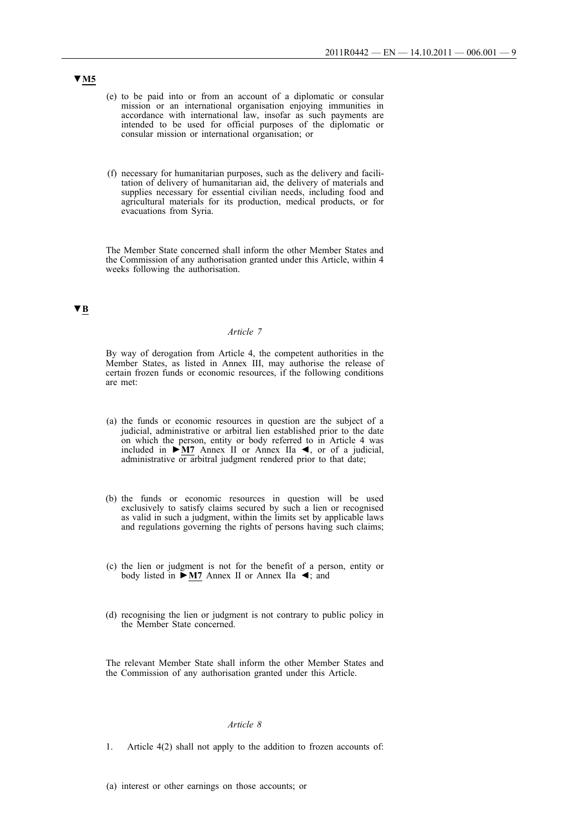- (e) to be paid into or from an account of a diplomatic or consular mission or an international organisation enjoying immunities in accordance with international law, insofar as such payments are intended to be used for official purposes of the diplomatic or consular mission or international organisation; or
- (f) necessary for humanitarian purposes, such as the delivery and facilitation of delivery of humanitarian aid, the delivery of materials and supplies necessary for essential civilian needs, including food and agricultural materials for its production, medical products, or for evacuations from Syria.

The Member State concerned shall inform the other Member States and the Commission of any authorisation granted under this Article, within 4 weeks following the authorisation.

# **▼B**

## *Article 7*

By way of derogation from Article 4, the competent authorities in the Member States, as listed in Annex III, may authorise the release of certain frozen funds or economic resources, if the following conditions are met:

- (a) the funds or economic resources in question are the subject of a judicial, administrative or arbitral lien established prior to the date on which the person, entity or body referred to in Article 4 was included in **►M7** Annex II or Annex IIa ◄, or of a judicial, administrative or arbitral judgment rendered prior to that date;
- (b) the funds or economic resources in question will be used exclusively to satisfy claims secured by such a lien or recognised as valid in such a judgment, within the limits set by applicable laws and regulations governing the rights of persons having such claims;
- (c) the lien or judgment is not for the benefit of a person, entity or body listed in **►M7** Annex II or Annex IIa ◄; and
- (d) recognising the lien or judgment is not contrary to public policy in the Member State concerned.

The relevant Member State shall inform the other Member States and the Commission of any authorisation granted under this Article.

#### *Article 8*

- 1. Article 4(2) shall not apply to the addition to frozen accounts of:
- (a) interest or other earnings on those accounts; or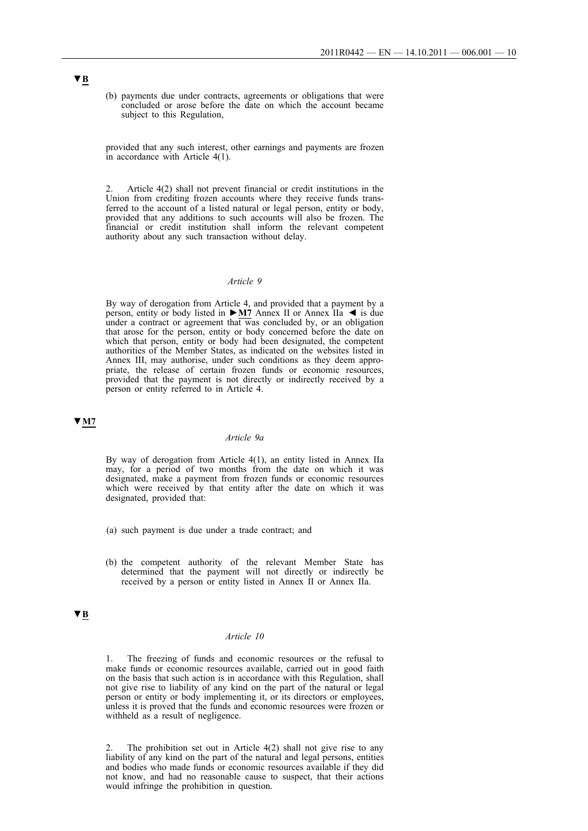(b) payments due under contracts, agreements or obligations that were concluded or arose before the date on which the account became subject to this Regulation,

provided that any such interest, other earnings and payments are frozen in accordance with Article 4(1).

Article 4(2) shall not prevent financial or credit institutions in the Union from crediting frozen accounts where they receive funds transferred to the account of a listed natural or legal person, entity or body, provided that any additions to such accounts will also be frozen. The financial or credit institution shall inform the relevant competent authority about any such transaction without delay.

## *Article 9*

By way of derogation from Article 4, and provided that a payment by a person, entity or body listed in **►M7** Annex II or Annex IIa ◄ is due under a contract or agreement that was concluded by, or an obligation that arose for the person, entity or body concerned before the date on which that person, entity or body had been designated, the competent authorities of the Member States, as indicated on the websites listed in Annex III, may authorise, under such conditions as they deem appropriate, the release of certain frozen funds or economic resources, provided that the payment is not directly or indirectly received by a person or entity referred to in Article 4.

## **▼M7**

## *Article 9a*

By way of derogation from Article 4(1), an entity listed in Annex IIa may, for a period of two months from the date on which it was designated, make a payment from frozen funds or economic resources which were received by that entity after the date on which it was designated, provided that:

- (a) such payment is due under a trade contract; and
- (b) the competent authority of the relevant Member State has determined that the payment will not directly or indirectly be received by a person or entity listed in Annex II or Annex IIa.

## **▼B**

## *Article 10*

1. The freezing of funds and economic resources or the refusal to make funds or economic resources available, carried out in good faith on the basis that such action is in accordance with this Regulation, shall not give rise to liability of any kind on the part of the natural or legal person or entity or body implementing it, or its directors or employees, unless it is proved that the funds and economic resources were frozen or withheld as a result of negligence.

The prohibition set out in Article  $4(2)$  shall not give rise to any liability of any kind on the part of the natural and legal persons, entities and bodies who made funds or economic resources available if they did not know, and had no reasonable cause to suspect, that their actions would infringe the prohibition in question.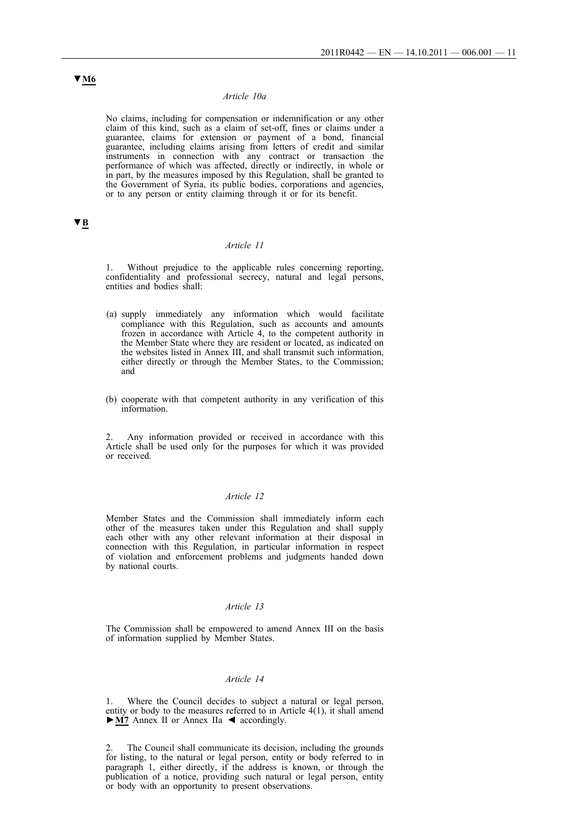## *Article 10a*

No claims, including for compensation or indemnification or any other claim of this kind, such as a claim of set-off, fines or claims under a guarantee, claims for extension or payment of a bond, financial guarantee, including claims arising from letters of credit and similar instruments in connection with any contract or transaction the performance of which was affected, directly or indirectly, in whole or in part, by the measures imposed by this Regulation, shall be granted to the Government of Syria, its public bodies, corporations and agencies, or to any person or entity claiming through it or for its benefit.

## **▼B**

#### *Article 11*

1. Without prejudice to the applicable rules concerning reporting, confidentiality and professional secrecy, natural and legal persons, entities and bodies shall:

- (a) supply immediately any information which would facilitate compliance with this Regulation, such as accounts and amounts frozen in accordance with Article 4, to the competent authority in the Member State where they are resident or located, as indicated on the websites listed in Annex III, and shall transmit such information, either directly or through the Member States, to the Commission; and
- (b) cooperate with that competent authority in any verification of this information.

Any information provided or received in accordance with this Article shall be used only for the purposes for which it was provided or received.

## *Article 12*

Member States and the Commission shall immediately inform each other of the measures taken under this Regulation and shall supply each other with any other relevant information at their disposal in connection with this Regulation, in particular information in respect of violation and enforcement problems and judgments handed down by national courts.

### *Article 13*

The Commission shall be empowered to amend Annex III on the basis of information supplied by Member States.

## *Article 14*

Where the Council decides to subject a natural or legal person, entity or body to the measures referred to in Article 4(1), it shall amend **►M7** Annex II or Annex IIa ◄ accordingly.

2. The Council shall communicate its decision, including the grounds for listing, to the natural or legal person, entity or body referred to in paragraph 1, either directly, if the address is known, or through the publication of a notice, providing such natural or legal person, entity or body with an opportunity to present observations.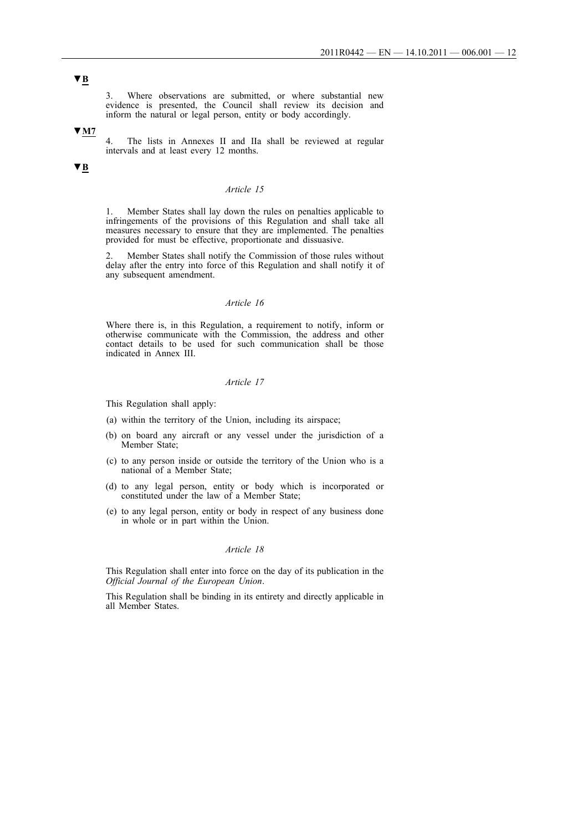3. Where observations are submitted, or where substantial new evidence is presented, the Council shall review its decision and inform the natural or legal person, entity or body accordingly.

#### **▼M7**

4. The lists in Annexes II and IIa shall be reviewed at regular intervals and at least every 12 months.

## **▼B**

# *Article 15*

1. Member States shall lay down the rules on penalties applicable to infringements of the provisions of this Regulation and shall take all measures necessary to ensure that they are implemented. The penalties provided for must be effective, proportionate and dissuasive.

2. Member States shall notify the Commission of those rules without delay after the entry into force of this Regulation and shall notify it of any subsequent amendment.

## *Article 16*

Where there is, in this Regulation, a requirement to notify, inform or otherwise communicate with the Commission, the address and other contact details to be used for such communication shall be those indicated in Annex III.

#### *Article 17*

This Regulation shall apply:

- (a) within the territory of the Union, including its airspace;
- (b) on board any aircraft or any vessel under the jurisdiction of a Member State;
- (c) to any person inside or outside the territory of the Union who is a national of a Member State;
- (d) to any legal person, entity or body which is incorporated or constituted under the law of a Member State;
- (e) to any legal person, entity or body in respect of any business done in whole or in part within the Union.

#### *Article 18*

This Regulation shall enter into force on the day of its publication in the *Official Journal of the European Union*.

This Regulation shall be binding in its entirety and directly applicable in all Member States.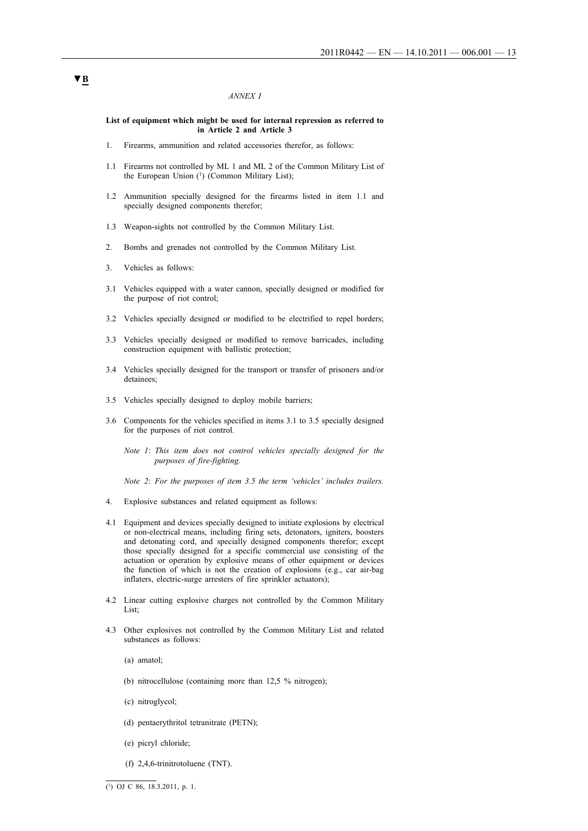#### *ANNEX I*

#### **List of equipment which might be used for internal repression as referred to in Article 2 and Article 3**

- 1. Firearms, ammunition and related accessories therefor, as follows:
- 1.1 Firearms not controlled by ML 1 and ML 2 of the Common Military List of the European Union (1) (Common Military List);
- 1.2 Ammunition specially designed for the firearms listed in item 1.1 and specially designed components therefor;
- 1.3 Weapon-sights not controlled by the Common Military List.
- 2. Bombs and grenades not controlled by the Common Military List.
- 3. Vehicles as follows:
- 3.1 Vehicles equipped with a water cannon, specially designed or modified for the purpose of riot control;
- 3.2 Vehicles specially designed or modified to be electrified to repel borders;
- 3.3 Vehicles specially designed or modified to remove barricades, including construction equipment with ballistic protection;
- 3.4 Vehicles specially designed for the transport or transfer of prisoners and/or detainees<sup>-</sup>
- 3.5 Vehicles specially designed to deploy mobile barriers;
- 3.6 Components for the vehicles specified in items 3.1 to 3.5 specially designed for the purposes of riot control.

*Note 1*: *This item does not control vehicles specially designed for the purposes of fire-fighting.*

*Note 2*: *For the purposes of item 3.5 the term 'vehicles' includes trailers.*

- 4. Explosive substances and related equipment as follows:
- 4.1 Equipment and devices specially designed to initiate explosions by electrical or non-electrical means, including firing sets, detonators, igniters, boosters and detonating cord, and specially designed components therefor; except those specially designed for a specific commercial use consisting of the actuation or operation by explosive means of other equipment or devices the function of which is not the creation of explosions (e.g., car air-bag inflaters, electric-surge arresters of fire sprinkler actuators);
- 4.2 Linear cutting explosive charges not controlled by the Common Military List<sup>-</sup>
- 4.3 Other explosives not controlled by the Common Military List and related substances as follows:
	- (a) amatol;
	- (b) nitrocellulose (containing more than 12,5 % nitrogen);
	- (c) nitroglycol;
	- (d) pentaerythritol tetranitrate (PETN);
	- (e) picryl chloride;
	- (f) 2,4,6-trinitrotoluene (TNT).

 $\overline{(^{1})$  OJ C 86, 18.3.2011, p. 1.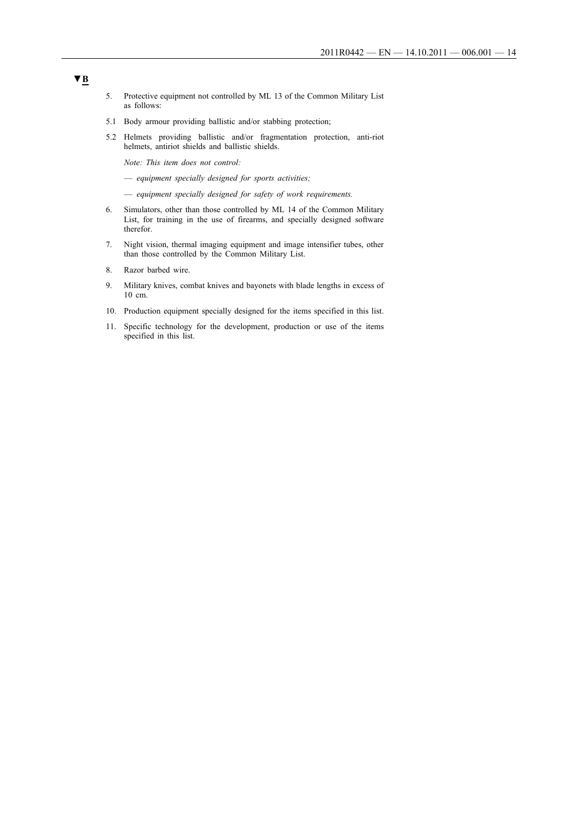- 5. Protective equipment not controlled by ML 13 of the Common Military List as follows:
- 5.1 Body armour providing ballistic and/or stabbing protection;
- 5.2 Helmets providing ballistic and/or fragmentation protection, anti-riot helmets, antiriot shields and ballistic shields.

*Note: This item does not control:*

— *equipment specially designed for sports activities;*

— *equipment specially designed for safety of work requirements.*

- 6. Simulators, other than those controlled by ML 14 of the Common Military List, for training in the use of firearms, and specially designed software therefor.
- 7. Night vision, thermal imaging equipment and image intensifier tubes, other than those controlled by the Common Military List.
- 8. Razor barbed wire.
- 9. Military knives, combat knives and bayonets with blade lengths in excess of 10 cm.
- 10. Production equipment specially designed for the items specified in this list.
- 11. Specific technology for the development, production or use of the items specified in this list.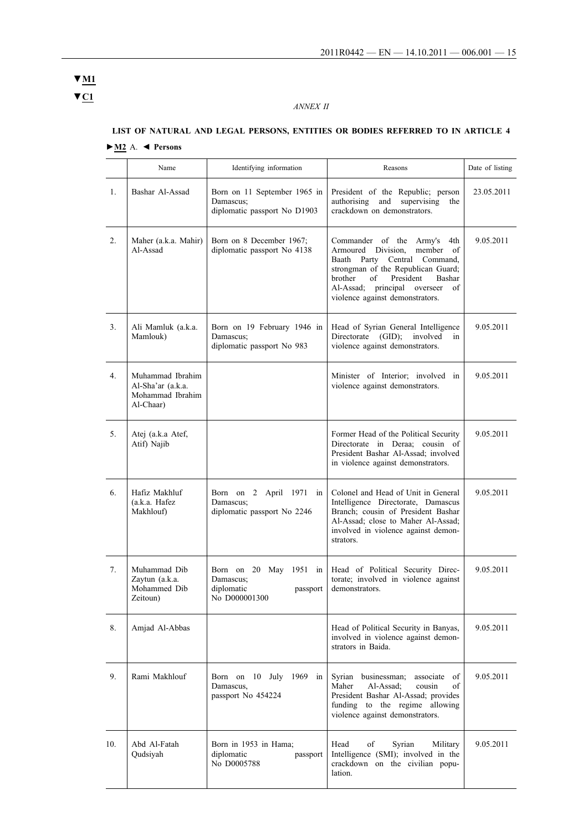# **▼C1 ▼M1**

# *ANNEX II*

|                  | Name                                                                   | Identifying information                                                        | Reasons                                                                                                                                                                                                                                                     | Date of listing |
|------------------|------------------------------------------------------------------------|--------------------------------------------------------------------------------|-------------------------------------------------------------------------------------------------------------------------------------------------------------------------------------------------------------------------------------------------------------|-----------------|
| 1.               | Bashar Al-Assad                                                        | Born on 11 September 1965 in<br>Damascus:<br>diplomatic passport No D1903      | President of the Republic; person<br>authorising and<br>supervising<br>the<br>crackdown on demonstrators.                                                                                                                                                   | 23.05.2011      |
| $\overline{2}$ . | Maher (a.k.a. Mahir)<br>Al-Assad                                       | Born on 8 December 1967;<br>diplomatic passport No 4138                        | Commander of the Army's<br>4th<br>Armoured Division.<br>member of<br>Baath Party Central Command,<br>strongman of the Republican Guard;<br>brother<br>President<br>of<br>Bashar<br>Al-Assad:<br>principal overseer<br>of<br>violence against demonstrators. | 9.05.2011       |
| 3 <sub>1</sub>   | Ali Mamluk (a.k.a.<br>Mamlouk)                                         | Born on 19 February 1946 in<br>Damascus:<br>diplomatic passport No 983         | Head of Syrian General Intelligence<br>Directorate (GID);<br>involved<br>in<br>violence against demonstrators.                                                                                                                                              | 9.05.2011       |
| 4.               | Muhammad Ibrahim<br>Al-Sha'ar (a.k.a.<br>Mohammad Ibrahim<br>Al-Chaar) |                                                                                | Minister of Interior; involved in<br>violence against demonstrators.                                                                                                                                                                                        | 9.05.2011       |
| 5.               | Atej (a.k.a Atef,<br>Atif) Najib                                       |                                                                                | Former Head of the Political Security<br>Directorate in Deraa; cousin of<br>President Bashar Al-Assad; involved<br>in violence against demonstrators.                                                                                                       | 9.05.2011       |
| 6.               | Hafiz Makhluf<br>(a.k.a. Hafez<br>Makhlouf)                            | Born on 2 April 1971 in<br>Damascus:<br>diplomatic passport No 2246            | Colonel and Head of Unit in General<br>Intelligence Directorate, Damascus<br>Branch; cousin of President Bashar<br>Al-Assad; close to Maher Al-Assad;<br>involved in violence against demon-<br>strators.                                                   | 9.05.2011       |
| 7.               | Muhammad Dib<br>Zaytun (a.k.a.<br>Mohammed Dib<br>Zeitoun)             | Born on 20 May 1951 in<br>Damascus;<br>diplomatic<br>passport<br>No D000001300 | Head of Political Security Direc-<br>torate; involved in violence against<br>demonstrators.                                                                                                                                                                 | 9.05.2011       |
| 8.               | Amjad Al-Abbas                                                         |                                                                                | Head of Political Security in Banyas,<br>involved in violence against demon-<br>strators in Baida.                                                                                                                                                          | 9.05.2011       |
| 9.               | Rami Makhlouf                                                          | Born on 10 July 1969 in<br>Damascus,<br>passport No 454224                     | Syrian businessman;<br>associate of<br>Maher<br>Al-Assad;<br>cousin<br>οf<br>President Bashar Al-Assad; provides<br>funding to the regime allowing<br>violence against demonstrators.                                                                       | 9.05.2011       |
| 10.              | Abd Al-Fatah<br>Qudsiyah                                               | Born in 1953 in Hama;<br>diplomatic<br>passport<br>No D0005788                 | of<br>Head<br>Syrian<br>Military<br>Intelligence (SMI); involved in the<br>crackdown on the civilian popu-<br>lation.                                                                                                                                       | 9.05.2011       |

# **LIST OF NATURAL AND LEGAL PERSONS, ENTITIES OR BODIES REFERRED TO IN ARTICLE 4**

## **►M2** A. **◄ Persons**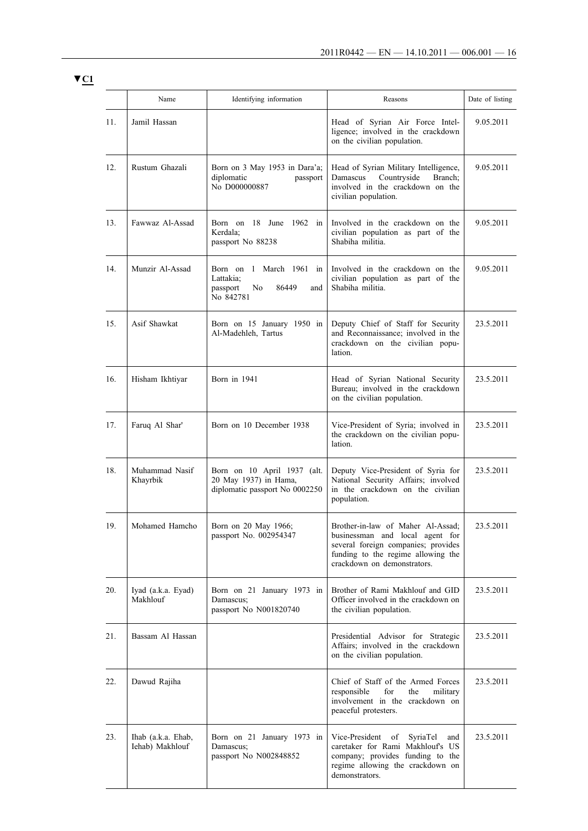**▼C1**

|     | Name                                  | Identifying information                                                                | Reasons                                                                                                                                                                          | Date of listing |
|-----|---------------------------------------|----------------------------------------------------------------------------------------|----------------------------------------------------------------------------------------------------------------------------------------------------------------------------------|-----------------|
| 11. | Jamil Hassan                          |                                                                                        | Head of Syrian Air Force Intel-<br>ligence; involved in the crackdown<br>on the civilian population.                                                                             | 9.05.2011       |
| 12. | Rustum Ghazali                        | Born on 3 May 1953 in Dara'a;<br>diplomatic<br>passport<br>No D000000887               | Head of Syrian Military Intelligence,<br>Countryside<br>Damascus<br>Branch:<br>involved in the crackdown on the<br>civilian population.                                          | 9.05.2011       |
| 13. | Fawwaz Al-Assad                       | Born on 18 June 1962 in<br>Kerdala;<br>passport No 88238                               | Involved in the crackdown on the<br>civilian population as part of the<br>Shabiha militia.                                                                                       | 9.05.2011       |
| 14. | Munzir Al-Assad                       | Born on 1 March 1961 in<br>Lattakia:<br>passport<br>86449<br>No<br>and<br>No 842781    | Involved in the crackdown on the<br>civilian population as part of the<br>Shabiha militia.                                                                                       | 9.05.2011       |
| 15. | Asif Shawkat                          | Born on 15 January 1950 in<br>Al-Madehleh, Tartus                                      | Deputy Chief of Staff for Security<br>and Reconnaissance; involved in the<br>crackdown on the civilian popu-<br>lation.                                                          | 23.5.2011       |
| 16. | Hisham Ikhtiyar                       | Born in 1941                                                                           | Head of Syrian National Security<br>Bureau; involved in the crackdown<br>on the civilian population.                                                                             | 23.5.2011       |
| 17. | Faruq Al Shar'                        | Born on 10 December 1938                                                               | Vice-President of Syria; involved in<br>the crackdown on the civilian popu-<br>lation.                                                                                           | 23.5.2011       |
| 18. | Muhammad Nasif<br>Khayrbik            | Born on 10 April 1937 (alt.<br>20 May 1937) in Hama,<br>diplomatic passport No 0002250 | Deputy Vice-President of Syria for<br>National Security Affairs; involved<br>in the crackdown on the civilian<br>population.                                                     | 23.5.2011       |
| 19. | Mohamed Hamcho                        | Born on 20 May 1966;<br>passport No. 002954347                                         | Brother-in-law of Maher Al-Assad:<br>businessman and local agent for<br>several foreign companies; provides<br>funding to the regime allowing the<br>crackdown on demonstrators. | 23.5.2011       |
| 20. | Iyad (a.k.a. Eyad)<br>Makhlouf        | Born on 21 January 1973 in<br>Damascus;<br>passport No N001820740                      | Brother of Rami Makhlouf and GID<br>Officer involved in the crackdown on<br>the civilian population.                                                                             | 23.5.2011       |
| 21. | Bassam Al Hassan                      |                                                                                        | Presidential Advisor for Strategic<br>Affairs; involved in the crackdown<br>on the civilian population.                                                                          | 23.5.2011       |
| 22. | Dawud Rajiha                          |                                                                                        | Chief of Staff of the Armed Forces<br>responsible<br>for<br>the<br>military<br>involvement in the crackdown on<br>peaceful protesters.                                           | 23.5.2011       |
| 23. | Ihab (a.k.a. Ehab,<br>Iehab) Makhlouf | Born on 21 January 1973 in<br>Damascus;<br>passport No N002848852                      | Vice-President of<br>SyriaTel<br>and<br>caretaker for Rami Makhlouf's US<br>company; provides funding to the<br>regime allowing the crackdown on<br>demonstrators.               | 23.5.2011       |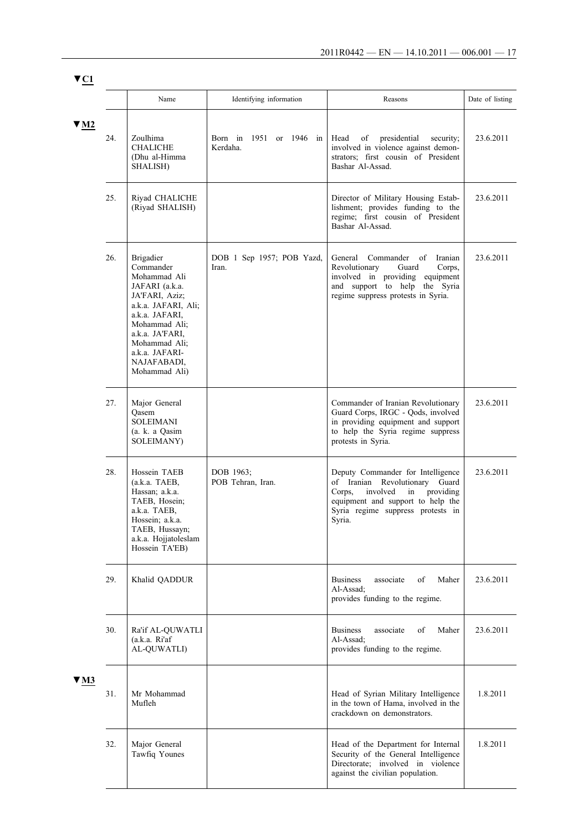**▼C1**

|                         |     | Name                                                                                                                                                                                                                              | Identifying information                | Reasons                                                                                                                                                                                          | Date of listing |
|-------------------------|-----|-----------------------------------------------------------------------------------------------------------------------------------------------------------------------------------------------------------------------------------|----------------------------------------|--------------------------------------------------------------------------------------------------------------------------------------------------------------------------------------------------|-----------------|
| $\Psi$ M2               | 24. | Zoulhima<br><b>CHALICHE</b><br>(Dhu al-Himma<br>SHALISH)                                                                                                                                                                          | Born in<br>1951 or 1946 in<br>Kerdaha. | Head<br>of<br>presidential<br>security;<br>involved in violence against demon-<br>strators; first cousin of President<br>Bashar Al-Assad.                                                        | 23.6.2011       |
|                         | 25. | Riyad CHALICHE<br>(Riyad SHALISH)                                                                                                                                                                                                 |                                        | Director of Military Housing Estab-<br>lishment; provides funding to the<br>regime; first cousin of President<br>Bashar Al-Assad.                                                                | 23.6.2011       |
|                         | 26. | <b>Brigadier</b><br>Commander<br>Mohammad Ali<br>JAFARI (a.k.a.<br>JA'FARI, Aziz;<br>a.k.a. JAFARI, Ali;<br>a.k.a. JAFARI,<br>Mohammad Ali;<br>a.k.a. JA'FARI,<br>Mohammad Ali;<br>a.k.a. JAFARI-<br>NAJAFABADI,<br>Mohammad Ali) | DOB 1 Sep 1957; POB Yazd,<br>Iran.     | General<br>Commander<br>of<br>Iranian<br>Revolutionary<br>Guard<br>Corps,<br>involved in providing equipment<br>and support to help the Syria<br>regime suppress protests in Syria.              | 23.6.2011       |
|                         | 27. | Major General<br>Qasem<br>SOLEIMANI<br>(a. k. a Qasim<br><b>SOLEIMANY</b> )                                                                                                                                                       |                                        | Commander of Iranian Revolutionary<br>Guard Corps, IRGC - Qods, involved<br>in providing equipment and support<br>to help the Syria regime suppress<br>protests in Syria.                        | 23.6.2011       |
|                         | 28. | Hossein TAEB<br>(a.k.a. TAEB,<br>Hassan; a.k.a.<br>TAEB, Hosein;<br>a.k.a. TAEB,<br>Hossein; a.k.a.<br>TAEB, Hussayn;<br>a.k.a. Hojjatoleslam<br>Hossein TA'EB)                                                                   | DOB 1963;<br>POB Tehran, Iran.         | Deputy Commander for Intelligence<br>of Iranian Revolutionary Guard<br>Corps.<br>involved<br>providing<br>in<br>equipment and support to help the<br>Syria regime suppress protests in<br>Syria. | 23.6.2011       |
|                         | 29. | Khalid QADDUR                                                                                                                                                                                                                     |                                        | of<br><b>Business</b><br>associate<br>Maher<br>Al-Assad;<br>provides funding to the regime.                                                                                                      | 23.6.2011       |
|                         | 30. | Ra'if AL-QUWATLI<br>(a.k.a. Ri'af)<br>AL-QUWATLI)                                                                                                                                                                                 |                                        | <b>Business</b><br>associate<br>οf<br>Maher<br>Al-Assad:<br>provides funding to the regime.                                                                                                      | 23.6.2011       |
| $\blacktriangledown$ M3 | 31. | Mr Mohammad<br>Mufleh                                                                                                                                                                                                             |                                        | Head of Syrian Military Intelligence<br>in the town of Hama, involved in the<br>crackdown on demonstrators.                                                                                      | 1.8.2011        |
|                         | 32. | Major General<br>Tawfiq Younes                                                                                                                                                                                                    |                                        | Head of the Department for Internal<br>Security of the General Intelligence<br>Directorate; involved in violence<br>against the civilian population.                                             | 1.8.2011        |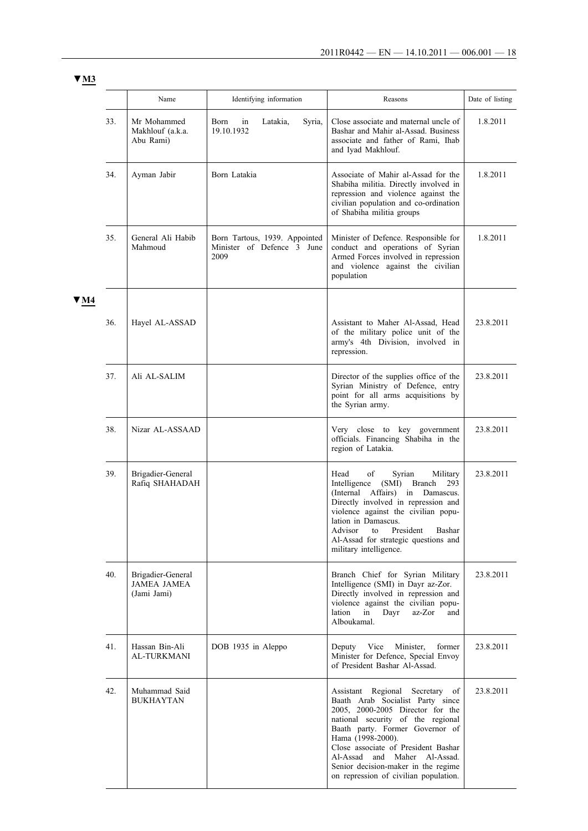|      |     | Name                                                   | Identifying information                                             | Reasons                                                                                                                                                                                                                                                                                                                                                     | Date of listing |
|------|-----|--------------------------------------------------------|---------------------------------------------------------------------|-------------------------------------------------------------------------------------------------------------------------------------------------------------------------------------------------------------------------------------------------------------------------------------------------------------------------------------------------------------|-----------------|
|      | 33. | Mr Mohammed<br>Makhlouf (a.k.a.<br>Abu Rami)           | Latakia,<br>Syria,<br>Born<br>in<br>19.10.1932                      | Close associate and maternal uncle of<br>Bashar and Mahir al-Assad. Business<br>associate and father of Rami, Ihab<br>and Iyad Makhlouf.                                                                                                                                                                                                                    | 1.8.2011        |
|      | 34. | Ayman Jabir                                            | Born Latakia                                                        | Associate of Mahir al-Assad for the<br>Shabiha militia. Directly involved in<br>repression and violence against the<br>civilian population and co-ordination<br>of Shabiha militia groups                                                                                                                                                                   | 1.8.2011        |
|      | 35. | General Ali Habib<br>Mahmoud                           | Born Tartous, 1939. Appointed<br>Minister of Defence 3 June<br>2009 | Minister of Defence. Responsible for<br>conduct and operations of Syrian<br>Armed Forces involved in repression<br>and violence against the civilian<br>population                                                                                                                                                                                          | 1.8.2011        |
| 7 M4 |     |                                                        |                                                                     |                                                                                                                                                                                                                                                                                                                                                             |                 |
|      | 36. | Hayel AL-ASSAD                                         |                                                                     | Assistant to Maher Al-Assad, Head<br>of the military police unit of the<br>army's 4th Division, involved in<br>repression.                                                                                                                                                                                                                                  | 23.8.2011       |
|      | 37. | Ali AL-SALIM                                           |                                                                     | Director of the supplies office of the<br>Syrian Ministry of Defence, entry<br>point for all arms acquisitions by<br>the Syrian army.                                                                                                                                                                                                                       | 23.8.2011       |
|      | 38. | Nizar AL-ASSAAD                                        |                                                                     | Very close to key government<br>officials. Financing Shabiha in the<br>region of Latakia.                                                                                                                                                                                                                                                                   | 23.8.2011       |
|      | 39. | Brigadier-General<br>Rafiq SHAHADAH                    |                                                                     | of<br>Syrian<br>Military<br>Head<br>Intelligence<br>(SMI)<br>Branch<br>293<br>(Internal Affairs) in Damascus.<br>Directly involved in repression and<br>violence against the civilian popu-<br>lation in Damascus.<br>Advisor<br>to<br>President<br>Bashar<br>Al-Assad for strategic questions and<br>military intelligence.                                | 23.8.2011       |
|      | 40. | Brigadier-General<br><b>JAMEA JAMEA</b><br>(Jami Jami) |                                                                     | Branch Chief for Syrian Military<br>Intelligence (SMI) in Dayr az-Zor.<br>Directly involved in repression and<br>violence against the civilian popu-<br>lation<br>Dayr<br>az-Zor<br>in<br>and<br>Alboukamal.                                                                                                                                                | 23.8.2011       |
|      | 41. | Hassan Bin-Ali<br><b>AL-TURKMANI</b>                   | DOB 1935 in Aleppo                                                  | Vice<br>Minister,<br>former<br>Deputy<br>Minister for Defence, Special Envoy<br>of President Bashar Al-Assad.                                                                                                                                                                                                                                               | 23.8.2011       |
|      | 42. | Muhammad Said<br><b>BUKHAYTAN</b>                      |                                                                     | Assistant Regional Secretary of<br>Baath Arab Socialist Party since<br>2005, 2000-2005 Director for the<br>national security of the regional<br>Baath party. Former Governor of<br>Hama (1998-2000).<br>Close associate of President Bashar<br>Al-Assad and Maher Al-Assad.<br>Senior decision-maker in the regime<br>on repression of civilian population. | 23.8.2011       |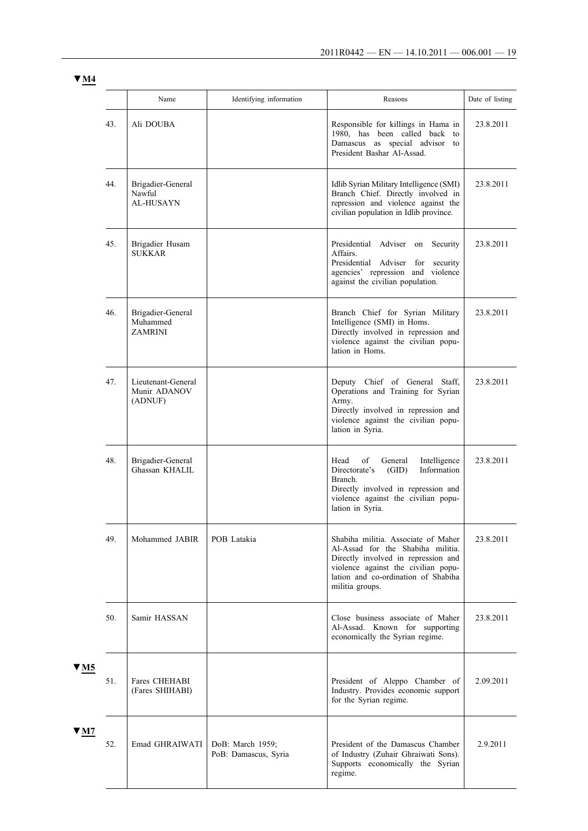|                         |     | Name                                            | Identifying information                  | Reasons                                                                                                                                                                                                          | Date of listing |  |
|-------------------------|-----|-------------------------------------------------|------------------------------------------|------------------------------------------------------------------------------------------------------------------------------------------------------------------------------------------------------------------|-----------------|--|
|                         | 43. | Ali DOUBA                                       |                                          | Responsible for killings in Hama in<br>1980, has been called back to<br>Damascus as special advisor to<br>President Bashar Al-Assad.                                                                             | 23.8.2011       |  |
|                         | 44. | Brigadier-General<br>Nawful<br><b>AL-HUSAYN</b> |                                          | Idlib Syrian Military Intelligence (SMI)<br>Branch Chief. Directly involved in<br>repression and violence against the<br>civilian population in Idlib province.                                                  | 23.8.2011       |  |
| 45.                     |     | Brigadier Husam<br><b>SUKKAR</b>                |                                          | Presidential Adviser on<br>Security<br>Affairs.<br>Presidential Adviser for security<br>agencies' repression and violence<br>against the civilian population.                                                    | 23.8.2011       |  |
|                         | 46. | Brigadier-General<br>Muhammed<br><b>ZAMRINI</b> |                                          | Branch Chief for Syrian Military<br>Intelligence (SMI) in Homs.<br>Directly involved in repression and<br>violence against the civilian popu-<br>lation in Homs.                                                 | 23.8.2011       |  |
|                         | 47. | Lieutenant-General<br>Munir ADANOV<br>(ADNUF)   |                                          | Deputy Chief of General Staff,<br>Operations and Training for Syrian<br>Army.<br>Directly involved in repression and<br>violence against the civilian popu-<br>lation in Syria.                                  | 23.8.2011       |  |
|                         | 48. | Brigadier-General<br>Ghassan KHALIL             |                                          | Head<br>of<br>General<br>Intelligence<br>Directorate's<br>Information<br>(GID)<br>Branch.<br>Directly involved in repression and<br>violence against the civilian popu-<br>lation in Syria.                      | 23.8.2011       |  |
|                         | 49. | Mohammed JABIR                                  | POB Latakia                              | Shabiha militia. Associate of Maher<br>Al-Assad for the Shabiha militia.<br>Directly involved in repression and<br>violence against the civilian popu-<br>lation and co-ordination of Shabiha<br>militia groups. | 23.8.2011       |  |
|                         | 50. | Samir HASSAN                                    |                                          | Close business associate of Maher<br>Al-Assad. Known for supporting<br>economically the Syrian regime.                                                                                                           | 23.8.2011       |  |
| $\blacktriangledown$ M5 | 51. | Fares CHEHABI<br>(Fares SHIHABI)                |                                          | President of Aleppo Chamber of<br>Industry. Provides economic support<br>for the Syrian regime.                                                                                                                  | 2.09.2011       |  |
| $\blacktriangledown$ M7 | 52. | Emad GHRAIWATI                                  | DoB: March 1959;<br>PoB: Damascus, Syria | President of the Damascus Chamber<br>of Industry (Zuhair Ghraiwati Sons).<br>Supports economically the Syrian<br>regime.                                                                                         | 2.9.2011        |  |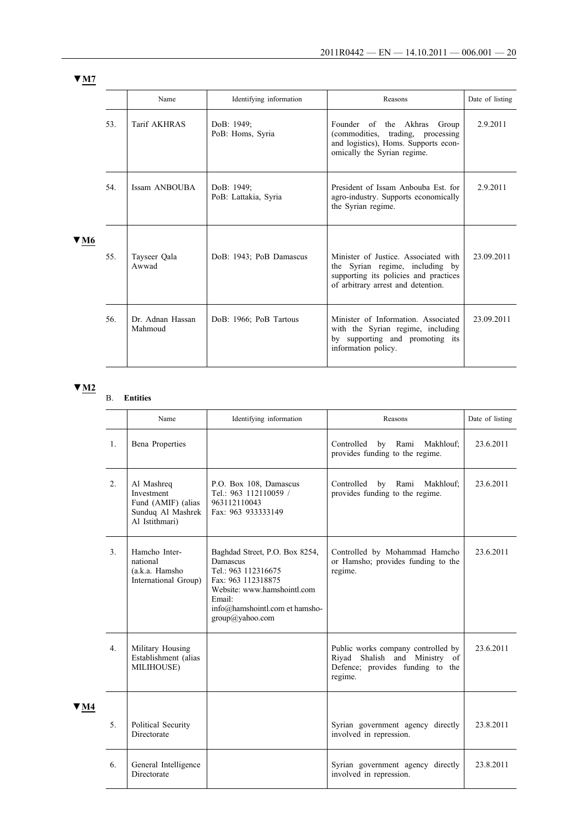|      |     | Name                        | Identifying information            | Reasons                                                                                                                                                | Date of listing |
|------|-----|-----------------------------|------------------------------------|--------------------------------------------------------------------------------------------------------------------------------------------------------|-----------------|
| V M6 | 53. | Tarif AKHRAS                | DoB: 1949;<br>PoB: Homs, Syria     | Founder of the Akhras Group<br>(commodities, trading, processing)<br>and logistics), Homs. Supports econ-<br>omically the Syrian regime.               | 2.9.2011        |
|      | 54. | Issam ANBOUBA               | DoB: 1949;<br>PoB: Lattakia, Syria | President of Issam Anbouba Est. for<br>agro-industry. Supports economically<br>the Syrian regime.                                                      | 2.9.2011        |
|      | 55. | Tayseer Qala<br>Awwad       | DoB: 1943; PoB Damascus            | Minister of Justice. Associated with<br>the Syrian regime, including by<br>supporting its policies and practices<br>of arbitrary arrest and detention. | 23.09.2011      |
|      | 56. | Dr. Adnan Hassan<br>Mahmoud | DoB: 1966; PoB Tartous             | Minister of Information. Associated<br>with the Syrian regime, including<br>by supporting and promoting its<br>information policy.                     | 23.09.2011      |

B. **Entities**

|      | Identifying information<br>Name<br>Reasons |                                                                                       | Date of listing                                                                                                                                                                       |                                                                                                                    |           |
|------|--------------------------------------------|---------------------------------------------------------------------------------------|---------------------------------------------------------------------------------------------------------------------------------------------------------------------------------------|--------------------------------------------------------------------------------------------------------------------|-----------|
|      | $\mathbf{1}$ .<br><b>Bena Properties</b>   |                                                                                       |                                                                                                                                                                                       | Controlled<br>by Rami<br>Makhlouf;<br>provides funding to the regime.                                              | 23.6.2011 |
|      | 2.                                         | Al Mashreq<br>Investment<br>Fund (AMIF) (alias<br>Sunduq Al Mashrek<br>Al Istithmari) | P.O. Box 108, Damascus<br>Tel.: 963 112110059 /<br>963112110043<br>Fax: 963 933333149                                                                                                 | Controlled<br>by Rami Makhlouf;<br>provides funding to the regime.                                                 | 23.6.2011 |
|      | 3 <sub>1</sub>                             | Hamcho Inter-<br>national<br>(a.k.a. Hamsho<br>International Group)                   | Baghdad Street, P.O. Box 8254,<br>Damascus<br>Tel.: 963 112316675<br>Fax: 963 112318875<br>Website: www.hamshointl.com<br>Email:<br>info@hamshointl.com et hamsho-<br>group@yahoo.com | Controlled by Mohammad Hamcho<br>or Hamsho; provides funding to the<br>regime.                                     | 23.6.2011 |
|      | 4 <sub>1</sub>                             | Military Housing<br>Establishment (alias<br>MILIHOUSE)                                |                                                                                                                                                                                       | Public works company controlled by<br>Riyad Shalish and Ministry of<br>Defence; provides funding to the<br>regime. | 23.6.2011 |
| V M4 |                                            |                                                                                       |                                                                                                                                                                                       |                                                                                                                    |           |
|      | 5 <sub>1</sub>                             | Political Security<br>Directorate                                                     |                                                                                                                                                                                       | Syrian government agency directly<br>involved in repression.                                                       | 23.8.2011 |
|      | 6.                                         | General Intelligence<br>Directorate                                                   |                                                                                                                                                                                       | Syrian government agency directly<br>involved in repression.                                                       | 23.8.2011 |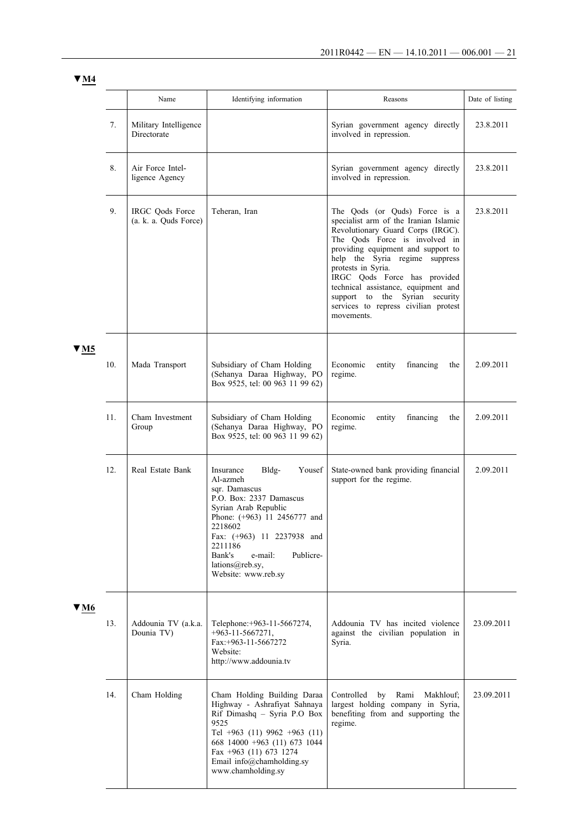|--|

|                         |     | Name                                     | Identifying information                                                                                                                                                                                                                                                      | Reasons                                                                                                                                                                                                                                                                                                                                                                                                   | Date of listing |
|-------------------------|-----|------------------------------------------|------------------------------------------------------------------------------------------------------------------------------------------------------------------------------------------------------------------------------------------------------------------------------|-----------------------------------------------------------------------------------------------------------------------------------------------------------------------------------------------------------------------------------------------------------------------------------------------------------------------------------------------------------------------------------------------------------|-----------------|
|                         | 7.  | Military Intelligence<br>Directorate     |                                                                                                                                                                                                                                                                              | Syrian government agency directly<br>involved in repression.                                                                                                                                                                                                                                                                                                                                              | 23.8.2011       |
|                         | 8.  | Air Force Intel-<br>ligence Agency       |                                                                                                                                                                                                                                                                              | Syrian government agency directly<br>involved in repression.                                                                                                                                                                                                                                                                                                                                              | 23.8.2011       |
|                         | 9.  | IRGC Qods Force<br>(a. k. a. Quds Force) | Teheran, Iran                                                                                                                                                                                                                                                                | The Qods (or Quds) Force is a<br>specialist arm of the Iranian Islamic<br>Revolutionary Guard Corps (IRGC).<br>The Qods Force is involved in<br>providing equipment and support to<br>help the Syria regime suppress<br>protests in Syria.<br>IRGC Qods Force has provided<br>technical assistance, equipment and<br>support to the Syrian security<br>services to repress civilian protest<br>movements. | 23.8.2011       |
| $\blacktriangledown$ M5 | 10. | Mada Transport                           | Subsidiary of Cham Holding<br>(Sehanya Daraa Highway, PO<br>Box 9525, tel: 00 963 11 99 62)                                                                                                                                                                                  | Economic<br>financing<br>entity<br>the<br>regime.                                                                                                                                                                                                                                                                                                                                                         | 2.09.2011       |
|                         | 11. | Cham Investment<br>Group                 | Subsidiary of Cham Holding<br>(Sehanya Daraa Highway, PO<br>Box 9525, tel: 00 963 11 99 62)                                                                                                                                                                                  | Economic<br>entity<br>financing<br>the<br>regime.                                                                                                                                                                                                                                                                                                                                                         | 2.09.2011       |
|                         | 12. | Real Estate Bank                         | Bldg-<br>Yousef<br>Insurance<br>Al-azmeh<br>sqr. Damascus<br>P.O. Box: 2337 Damascus<br>Syrian Arab Republic<br>Phone: (+963) 11 2456777 and<br>2218602<br>Fax: (+963) 11 2237938 and<br>2211186<br>Bank's<br>e-mail:<br>Publicre-<br>lations@reb.sy,<br>Website: www.reb.sy | State-owned bank providing financial<br>support for the regime.                                                                                                                                                                                                                                                                                                                                           | 2.09.2011       |
| V M6                    | 13. | Addounia TV (a.k.a.<br>Dounia TV)        | Telephone: +963-11-5667274,<br>$+963 - 11 - 5667271$ ,<br>Fax:+963-11-5667272<br>Website:<br>http://www.addounia.tv                                                                                                                                                          | Addounia TV has incited violence<br>against the civilian population in<br>Syria.                                                                                                                                                                                                                                                                                                                          | 23.09.2011      |
|                         | 14. | Cham Holding                             | Cham Holding Building Daraa<br>Highway - Ashrafiyat Sahnaya<br>Rif Dimashq - Syria P.O Box<br>9525<br>Tel +963 (11) 9962 +963 (11)<br>668 14000 +963 (11) 673 1044<br>Fax $+963$ (11) 673 1274<br>Email info@chamholding.sy<br>www.chamholding.sy                            | Rami<br>Controlled<br>by<br>Makhlouf;<br>largest holding company in Syria,<br>benefiting from and supporting the<br>regime.                                                                                                                                                                                                                                                                               | 23.09.2011      |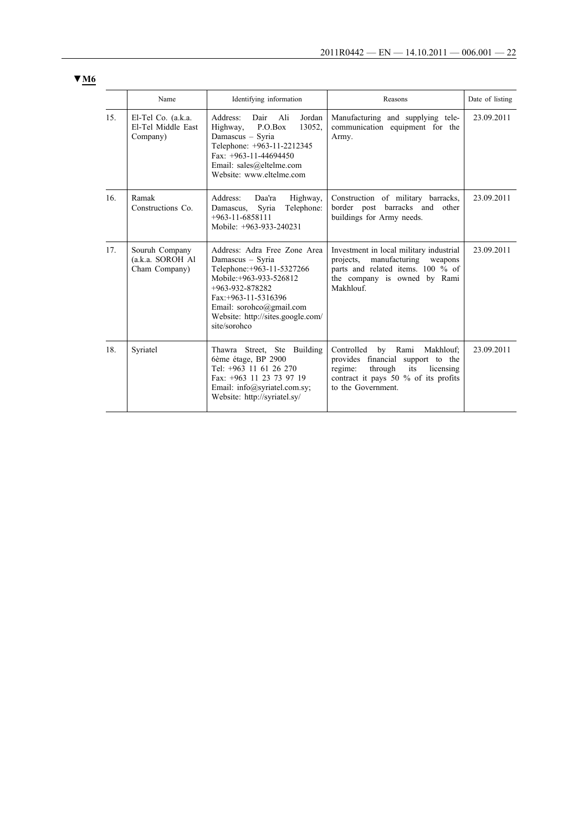|                 | Name                                                 | Identifying information                                                                                                                                                                                                                   | Reasons                                                                                                                                                                         | Date of listing |
|-----------------|------------------------------------------------------|-------------------------------------------------------------------------------------------------------------------------------------------------------------------------------------------------------------------------------------------|---------------------------------------------------------------------------------------------------------------------------------------------------------------------------------|-----------------|
| 15 <sub>1</sub> | El-Tel Co. (a.k.a.<br>El-Tel Middle East<br>Company) | Address:<br>– Ali<br>Jordan<br>Dair<br>13052.<br>Highway,<br>P. O. Box<br>Damascus - Syria<br>Telephone: +963-11-2212345<br>Fax: $+963-11-44694450$<br>Email: sales@eltelme.com<br>Website: www.eltelme.com                               | Manufacturing and supplying tele-<br>communication equipment for the<br>Army.                                                                                                   | 23.09.2011      |
| 16.             | Ramak<br>Constructions Co.                           | Address:<br>Highway,<br>Daa'ra<br>Telephone:<br>Syria<br>Damascus,<br>$+963-11-6858111$<br>Mobile: +963-933-240231                                                                                                                        | Construction of military barracks,<br>border post barracks and other<br>buildings for Army needs.                                                                               | 23.09.2011      |
| 17 <sub>1</sub> | Souruh Company<br>(a.k.a. SOROH Al<br>Cham Company)  | Address: Adra Free Zone Area<br>Damascus - Syria<br>Telephone: +963-11-5327266<br>Mobile: +963-933-526812<br>$+963-932-878282$<br>$Fax: +963-11-5316396$<br>Email: sorohco@gmail.com<br>Website: http://sites.google.com/<br>site/sorohco | Investment in local military industrial<br>manufacturing<br>projects.<br>weapons<br>parts and related items. 100 % of<br>the company is owned by Rami<br>Makhlouf.              | 23.09.2011      |
| 18.             | Syriatel                                             | Thawra Street, Ste<br>Building<br>6ème étage, BP 2900<br>Tel: +963 11 61 26 270<br>Fax: +963 11 23 73 97 19<br>Email: info@syriatel.com.sy;<br>Website: http://syriatel.sy/                                                               | Controlled<br>by Rami<br>Makhlouf;<br>provides financial support to the<br>through<br>regime:<br>its<br>licensing<br>contract it pays 50 % of its profits<br>to the Government. | 23.09.2011      |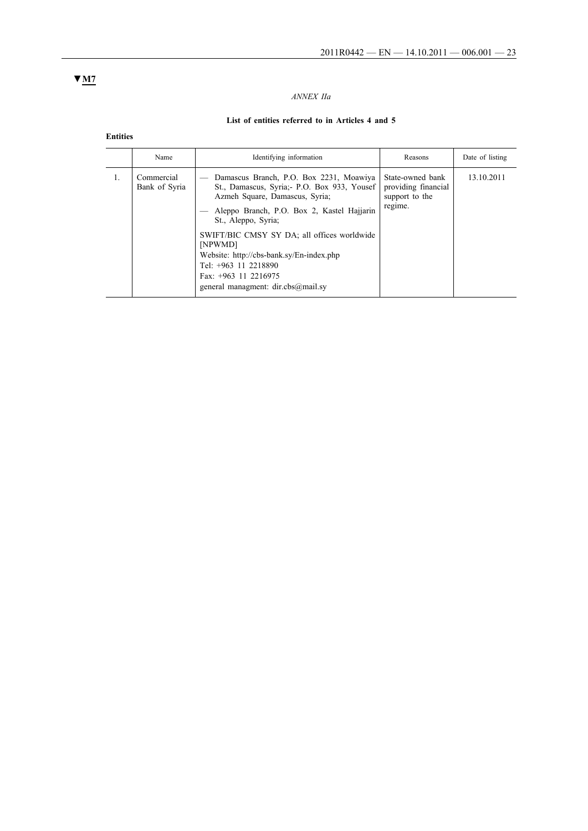## *ANNEX IIa*

# **List of entities referred to in Articles 4 and 5**

**Entities**

| Name                        | Identifying information                                                                                                                                                                                                                                                                                                                                                                      | Reasons                                                              | Date of listing |
|-----------------------------|----------------------------------------------------------------------------------------------------------------------------------------------------------------------------------------------------------------------------------------------------------------------------------------------------------------------------------------------------------------------------------------------|----------------------------------------------------------------------|-----------------|
| Commercial<br>Bank of Syria | Damascus Branch, P.O. Box 2231, Moawiya<br>St., Damascus, Syria; - P.O. Box 933, Yousef<br>Azmeh Square, Damascus, Syria;<br>Aleppo Branch, P.O. Box 2, Kastel Hajjarin<br>St., Aleppo, Syria;<br>SWIFT/BIC CMSY SY DA; all offices worldwide<br>[NPWMD]<br>Website: http://cbs-bank.sy/En-index.php<br>Tel: +963 11 2218890<br>Fax: $+963$ 11 2216975<br>general managment: dir.cbs@mail.sy | State-owned bank<br>providing financial<br>support to the<br>regime. | 13.10.2011      |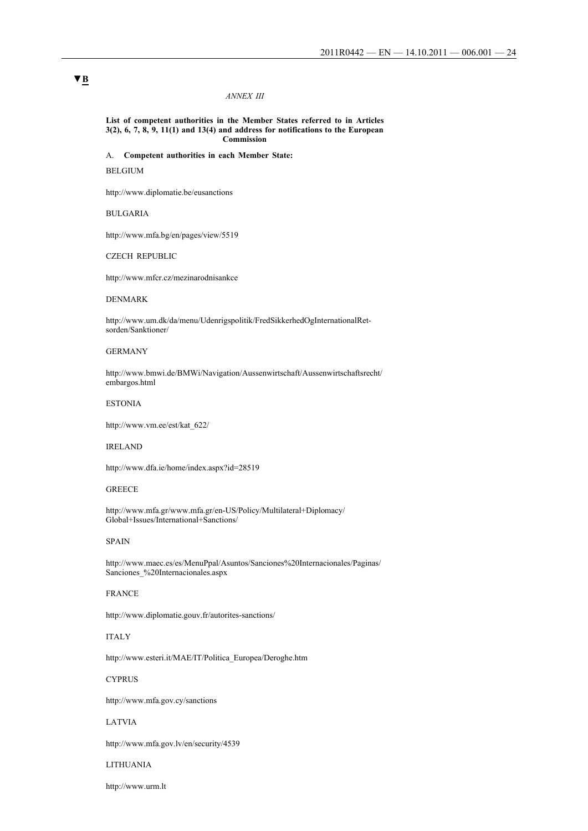#### *ANNEX III*

**List of competent authorities in the Member States referred to in Articles 3(2), 6, 7, 8, 9, 11(1) and 13(4) and address for notifications to the European Commission**

A. **Competent authorities in each Member State:**

## BELGIUM

http://www.diplomatie.be/eusanctions

#### BULGARIA

http://www.mfa.bg/en/pages/view/5519

#### CZECH REPUBLIC

http://www.mfcr.cz/mezinarodnisankce

#### DENMARK

http://www.um.dk/da/menu/Udenrigspolitik/FredSikkerhedOgInternationalRetsorden/Sanktioner/

#### GERMANY

http://www.bmwi.de/BMWi/Navigation/Aussenwirtschaft/Aussenwirtschaftsrecht/ embargos.html

#### ESTONIA

http://www.vm.ee/est/kat\_622/

#### IRELAND

http://www.dfa.ie/home/index.aspx?id=28519

#### **GREECE**

http://www.mfa.gr/www.mfa.gr/en-US/Policy/Multilateral+Diplomacy/ Global+Issues/International+Sanctions/

#### SPAIN

http://www.maec.es/es/MenuPpal/Asuntos/Sanciones%20Internacionales/Paginas/ Sanciones\_%20Internacionales.aspx

### FRANCE

http://www.diplomatie.gouv.fr/autorites-sanctions/

### ITALY

http://www.esteri.it/MAE/IT/Politica\_Europea/Deroghe.htm

## **CYPRUS**

http://www.mfa.gov.cy/sanctions

#### LATVIA

http://www.mfa.gov.lv/en/security/4539

#### LITHUANIA

http://www.urm.lt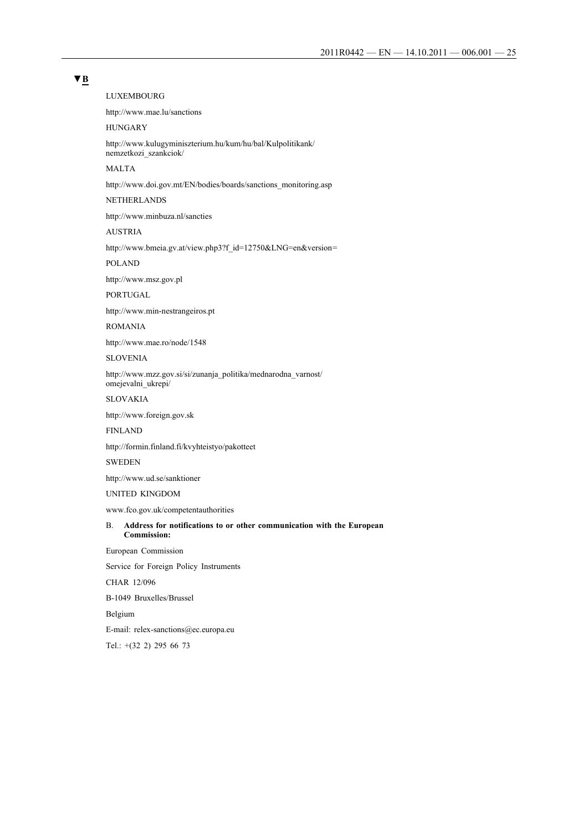## **▼B**

LUXEMBOURG

http://www.mae.lu/sanctions

## HUNGARY

http://www.kulugyminiszterium.hu/kum/hu/bal/Kulpolitikank/ nemzetkozi\_szankciok/

MALTA

http://www.doi.gov.mt/EN/bodies/boards/sanctions\_monitoring.asp

NETHERLANDS

http://www.minbuza.nl/sancties

# AUSTRIA

http://www.bmeia.gv.at/view.php3?f\_id=12750&LNG=en&version=

POLAND

http://www.msz.gov.pl

PORTUGAL

http://www.min-nestrangeiros.pt

#### ROMANIA

http://www.mae.ro/node/1548

SLOVENIA

http://www.mzz.gov.si/si/zunanja\_politika/mednarodna\_varnost/ omejevalni\_ukrepi/

SLOVAKIA

http://www.foreign.gov.sk

FINLAND

http://formin.finland.fi/kvyhteistyo/pakotteet

SWEDEN

http://www.ud.se/sanktioner

UNITED KINGDOM

www.fco.gov.uk/competentauthorities

#### B. **Address for notifications to or other communication with the European Commission:**

European Commission

Service for Foreign Policy Instruments

CHAR 12/096

B-1049 Bruxelles/Brussel

Belgium

E-mail: relex-sanctions@ec.europa.eu

Tel.: +(32 2) 295 66 73